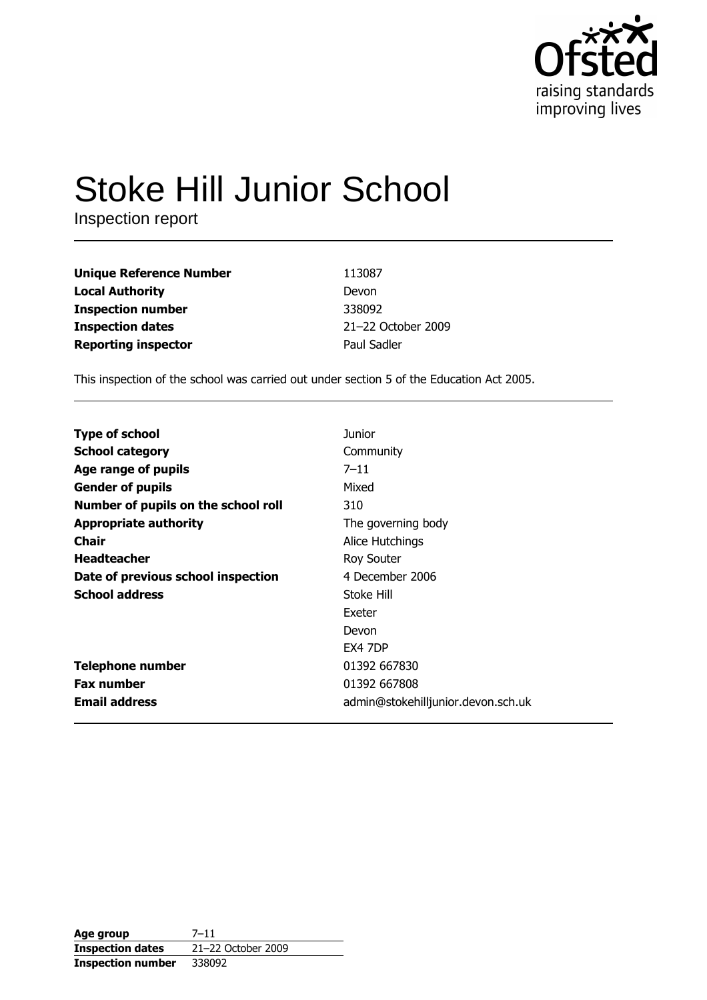

# **Stoke Hill Junior School**

Inspection report

| <b>Unique Reference Number</b> | 113087             |
|--------------------------------|--------------------|
| <b>Local Authority</b>         | Devon              |
| <b>Inspection number</b>       | 338092             |
| <b>Inspection dates</b>        | 21-22 October 2009 |
| <b>Reporting inspector</b>     | Paul Sadler        |

This inspection of the school was carried out under section 5 of the Education Act 2005.

| <b>Type of school</b>               | Junior                             |
|-------------------------------------|------------------------------------|
| <b>School category</b>              | Community                          |
| Age range of pupils                 | $7 - 11$                           |
| <b>Gender of pupils</b>             | Mixed                              |
| Number of pupils on the school roll | 310                                |
| <b>Appropriate authority</b>        | The governing body                 |
| Chair                               | Alice Hutchings                    |
| <b>Headteacher</b>                  | Roy Souter                         |
| Date of previous school inspection  | 4 December 2006                    |
| <b>School address</b>               | Stoke Hill                         |
|                                     | Exeter                             |
|                                     | Devon                              |
|                                     | <b>EX4 7DP</b>                     |
| <b>Telephone number</b>             | 01392 667830                       |
| <b>Fax number</b>                   | 01392 667808                       |
| <b>Email address</b>                | admin@stokehilljunior.devon.sch.uk |

| Age group                | 7–11               |
|--------------------------|--------------------|
| <b>Inspection dates</b>  | 21-22 October 2009 |
| <b>Inspection number</b> | 338092             |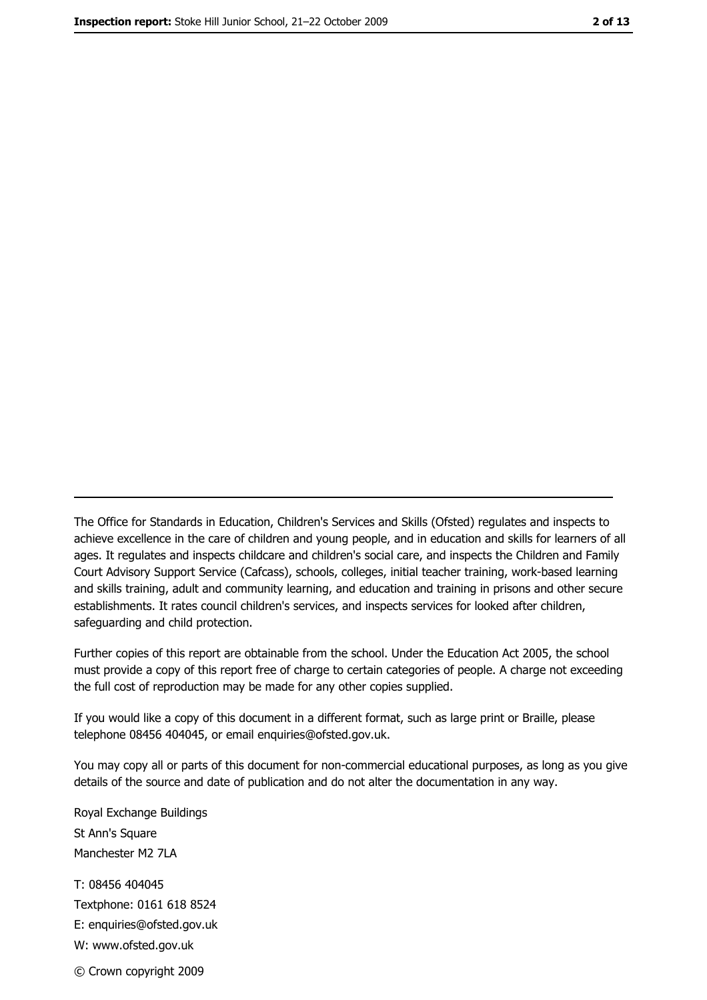The Office for Standards in Education, Children's Services and Skills (Ofsted) regulates and inspects to achieve excellence in the care of children and young people, and in education and skills for learners of all ages. It regulates and inspects childcare and children's social care, and inspects the Children and Family Court Advisory Support Service (Cafcass), schools, colleges, initial teacher training, work-based learning and skills training, adult and community learning, and education and training in prisons and other secure establishments. It rates council children's services, and inspects services for looked after children, safequarding and child protection.

Further copies of this report are obtainable from the school. Under the Education Act 2005, the school must provide a copy of this report free of charge to certain categories of people. A charge not exceeding the full cost of reproduction may be made for any other copies supplied.

If you would like a copy of this document in a different format, such as large print or Braille, please telephone 08456 404045, or email enquiries@ofsted.gov.uk.

You may copy all or parts of this document for non-commercial educational purposes, as long as you give details of the source and date of publication and do not alter the documentation in any way.

Royal Exchange Buildings St Ann's Square Manchester M2 7LA T: 08456 404045 Textphone: 0161 618 8524 E: enquiries@ofsted.gov.uk W: www.ofsted.gov.uk © Crown copyright 2009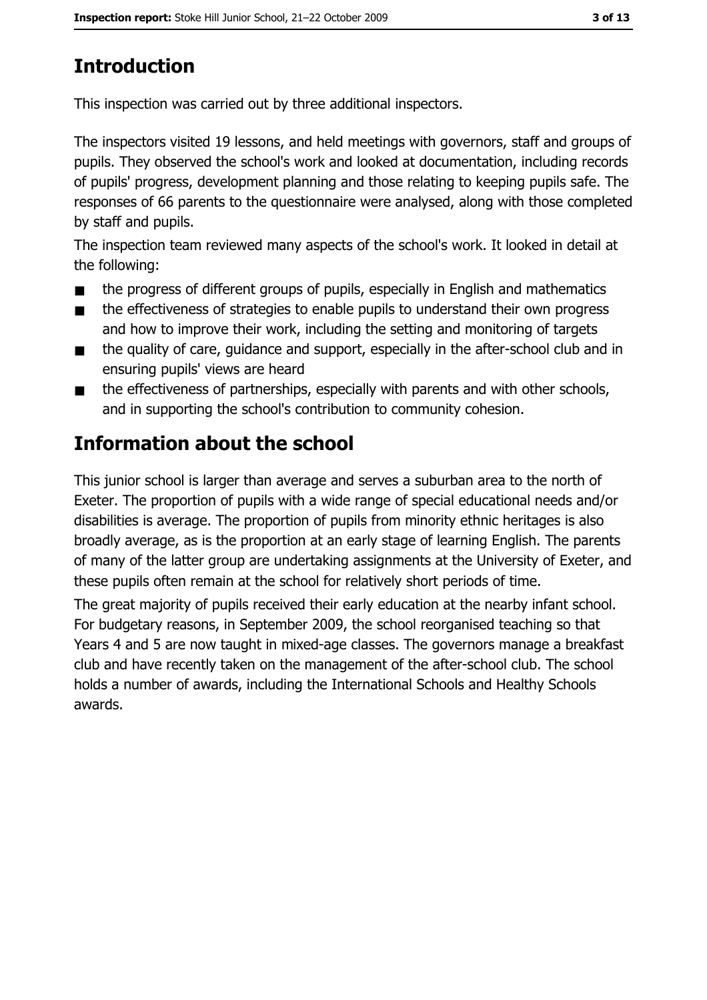# **Introduction**

This inspection was carried out by three additional inspectors.

The inspectors visited 19 lessons, and held meetings with governors, staff and groups of pupils. They observed the school's work and looked at documentation, including records of pupils' progress, development planning and those relating to keeping pupils safe. The responses of 66 parents to the questionnaire were analysed, along with those completed by staff and pupils.

The inspection team reviewed many aspects of the school's work. It looked in detail at the following:

- the progress of different groups of pupils, especially in English and mathematics  $\blacksquare$
- the effectiveness of strategies to enable pupils to understand their own progress  $\blacksquare$ and how to improve their work, including the setting and monitoring of targets
- the quality of care, quidance and support, especially in the after-school club and in  $\blacksquare$ ensuring pupils' views are heard
- the effectiveness of partnerships, especially with parents and with other schools,  $\blacksquare$ and in supporting the school's contribution to community cohesion.

# **Information about the school**

This junior school is larger than average and serves a suburban area to the north of Exeter. The proportion of pupils with a wide range of special educational needs and/or disabilities is average. The proportion of pupils from minority ethnic heritages is also broadly average, as is the proportion at an early stage of learning English. The parents of many of the latter group are undertaking assignments at the University of Exeter, and these pupils often remain at the school for relatively short periods of time.

The great majority of pupils received their early education at the nearby infant school. For budgetary reasons, in September 2009, the school reorganised teaching so that Years 4 and 5 are now taught in mixed-age classes. The governors manage a breakfast club and have recently taken on the management of the after-school club. The school holds a number of awards, including the International Schools and Healthy Schools awards.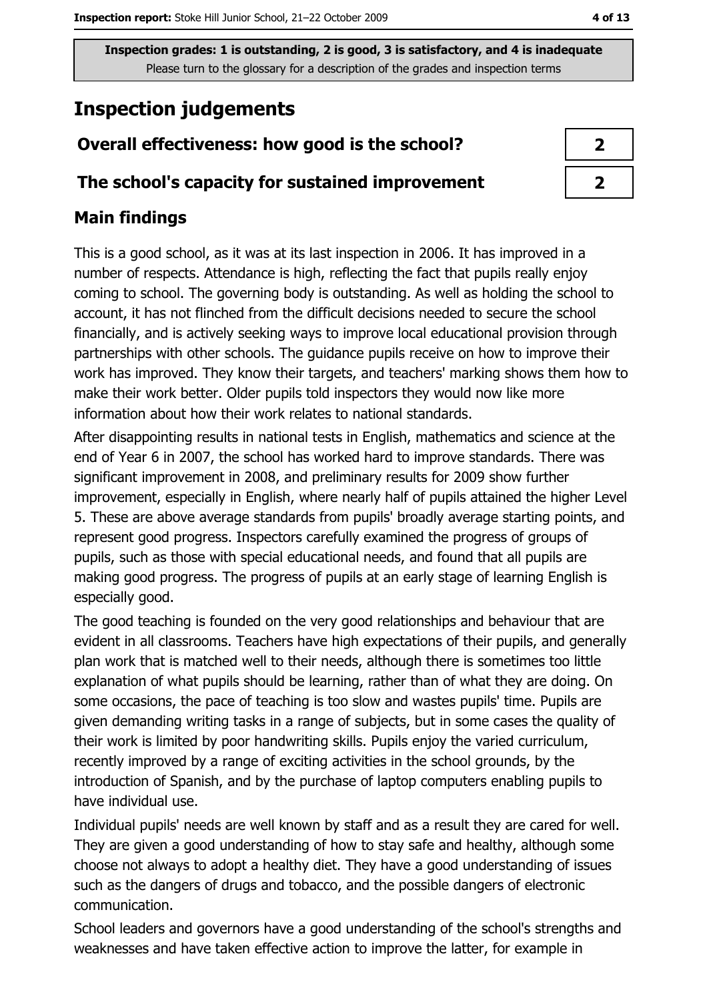# **Inspection judgements**

## Overall effectiveness: how good is the school?

#### The school's capacity for sustained improvement

## **Main findings**

This is a good school, as it was at its last inspection in 2006. It has improved in a number of respects. Attendance is high, reflecting the fact that pupils really enjoy coming to school. The governing body is outstanding. As well as holding the school to account, it has not flinched from the difficult decisions needed to secure the school financially, and is actively seeking ways to improve local educational provision through partnerships with other schools. The quidance pupils receive on how to improve their work has improved. They know their targets, and teachers' marking shows them how to make their work better. Older pupils told inspectors they would now like more information about how their work relates to national standards.

After disappointing results in national tests in English, mathematics and science at the end of Year 6 in 2007, the school has worked hard to improve standards. There was significant improvement in 2008, and preliminary results for 2009 show further improvement, especially in English, where nearly half of pupils attained the higher Level 5. These are above average standards from pupils' broadly average starting points, and represent good progress. Inspectors carefully examined the progress of groups of pupils, such as those with special educational needs, and found that all pupils are making good progress. The progress of pupils at an early stage of learning English is especially good.

The good teaching is founded on the very good relationships and behaviour that are evident in all classrooms. Teachers have high expectations of their pupils, and generally plan work that is matched well to their needs, although there is sometimes too little explanation of what pupils should be learning, rather than of what they are doing. On some occasions, the pace of teaching is too slow and wastes pupils' time. Pupils are given demanding writing tasks in a range of subjects, but in some cases the quality of their work is limited by poor handwriting skills. Pupils enjoy the varied curriculum, recently improved by a range of exciting activities in the school grounds, by the introduction of Spanish, and by the purchase of laptop computers enabling pupils to have individual use.

Individual pupils' needs are well known by staff and as a result they are cared for well. They are given a good understanding of how to stay safe and healthy, although some choose not always to adopt a healthy diet. They have a good understanding of issues such as the dangers of drugs and tobacco, and the possible dangers of electronic communication.

School leaders and governors have a good understanding of the school's strengths and weaknesses and have taken effective action to improve the latter, for example in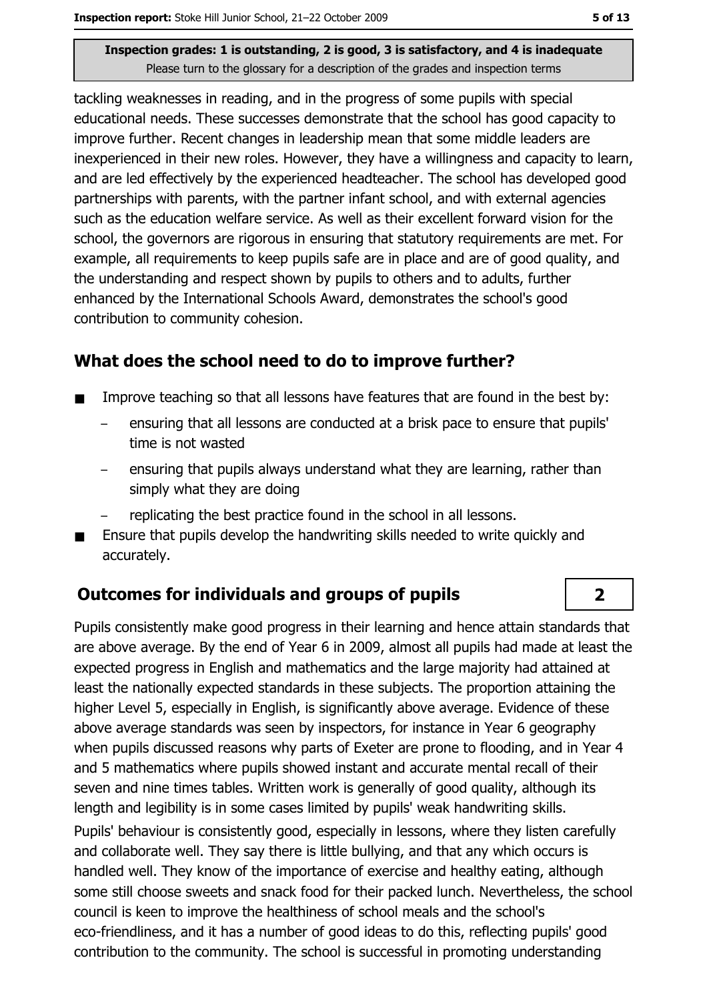tackling weaknesses in reading, and in the progress of some pupils with special educational needs. These successes demonstrate that the school has good capacity to improve further. Recent changes in leadership mean that some middle leaders are inexperienced in their new roles. However, they have a willingness and capacity to learn, and are led effectively by the experienced headteacher. The school has developed good partnerships with parents, with the partner infant school, and with external agencies such as the education welfare service. As well as their excellent forward vision for the school, the governors are rigorous in ensuring that statutory requirements are met. For example, all requirements to keep pupils safe are in place and are of good quality, and the understanding and respect shown by pupils to others and to adults, further enhanced by the International Schools Award, demonstrates the school's good contribution to community cohesion.

#### What does the school need to do to improve further?

- Improve teaching so that all lessons have features that are found in the best by:  $\blacksquare$ 
	- ensuring that all lessons are conducted at a brisk pace to ensure that pupils' time is not wasted
	- ensuring that pupils always understand what they are learning, rather than simply what they are doing
	- replicating the best practice found in the school in all lessons.
- Ensure that pupils develop the handwriting skills needed to write quickly and accurately.

#### **Outcomes for individuals and groups of pupils**

Pupils consistently make good progress in their learning and hence attain standards that are above average. By the end of Year 6 in 2009, almost all pupils had made at least the expected progress in English and mathematics and the large majority had attained at least the nationally expected standards in these subjects. The proportion attaining the higher Level 5, especially in English, is significantly above average. Evidence of these above average standards was seen by inspectors, for instance in Year 6 geography when pupils discussed reasons why parts of Exeter are prone to flooding, and in Year 4 and 5 mathematics where pupils showed instant and accurate mental recall of their seven and nine times tables. Written work is generally of good quality, although its length and legibility is in some cases limited by pupils' weak handwriting skills. Pupils' behaviour is consistently good, especially in lessons, where they listen carefully and collaborate well. They say there is little bullying, and that any which occurs is handled well. They know of the importance of exercise and healthy eating, although some still choose sweets and snack food for their packed lunch. Nevertheless, the school council is keen to improve the healthiness of school meals and the school's eco-friendliness, and it has a number of good ideas to do this, reflecting pupils' good contribution to the community. The school is successful in promoting understanding

 $\overline{2}$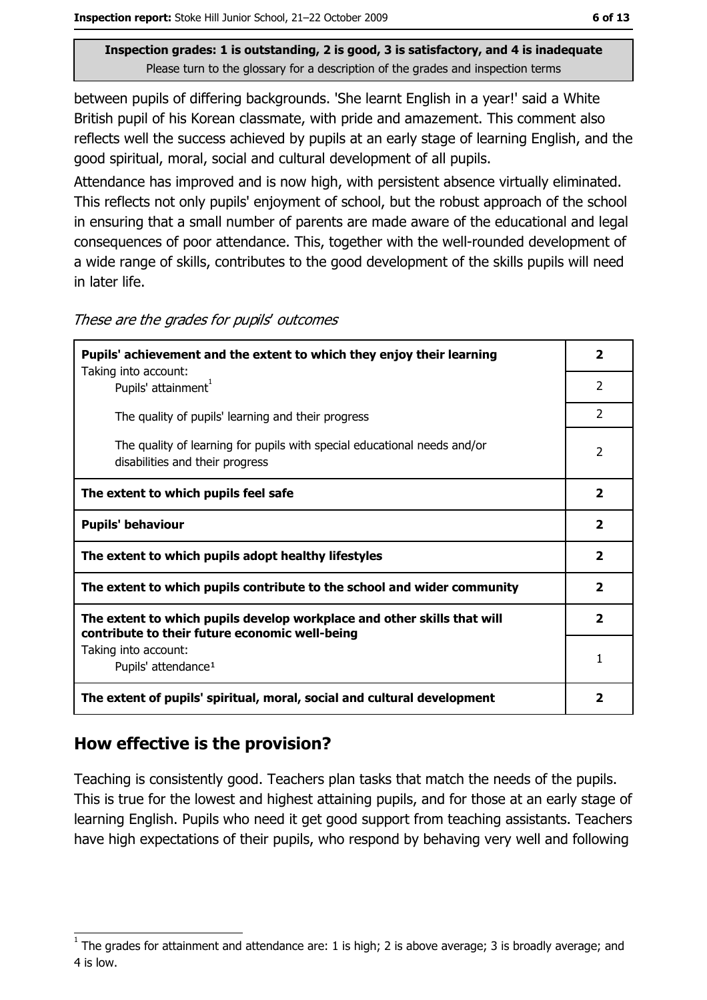between pupils of differing backgrounds. 'She learnt English in a year!' said a White British pupil of his Korean classmate, with pride and amazement. This comment also reflects well the success achieved by pupils at an early stage of learning English, and the good spiritual, moral, social and cultural development of all pupils.

Attendance has improved and is now high, with persistent absence virtually eliminated. This reflects not only pupils' enjoyment of school, but the robust approach of the school in ensuring that a small number of parents are made aware of the educational and legal consequences of poor attendance. This, together with the well-rounded development of a wide range of skills, contributes to the good development of the skills pupils will need in later life.

| Pupils' achievement and the extent to which they enjoy their learning                                                     |                         |
|---------------------------------------------------------------------------------------------------------------------------|-------------------------|
| Taking into account:<br>Pupils' attainment <sup>1</sup>                                                                   | 2                       |
| The quality of pupils' learning and their progress                                                                        | $\overline{2}$          |
| The quality of learning for pupils with special educational needs and/or<br>disabilities and their progress               | 2                       |
| The extent to which pupils feel safe                                                                                      | $\overline{\mathbf{2}}$ |
| <b>Pupils' behaviour</b>                                                                                                  | $\mathbf{2}$            |
| The extent to which pupils adopt healthy lifestyles                                                                       | $\overline{2}$          |
| The extent to which pupils contribute to the school and wider community                                                   |                         |
| The extent to which pupils develop workplace and other skills that will<br>contribute to their future economic well-being | $\mathbf{2}$            |
| Taking into account:                                                                                                      | 1                       |
| Pupils' attendance <sup>1</sup>                                                                                           |                         |
| The extent of pupils' spiritual, moral, social and cultural development                                                   | $\overline{\mathbf{2}}$ |

These are the grades for pupils' outcomes

## How effective is the provision?

Teaching is consistently good. Teachers plan tasks that match the needs of the pupils. This is true for the lowest and highest attaining pupils, and for those at an early stage of learning English. Pupils who need it get good support from teaching assistants. Teachers have high expectations of their pupils, who respond by behaving very well and following

The grades for attainment and attendance are: 1 is high; 2 is above average; 3 is broadly average; and 4 is low.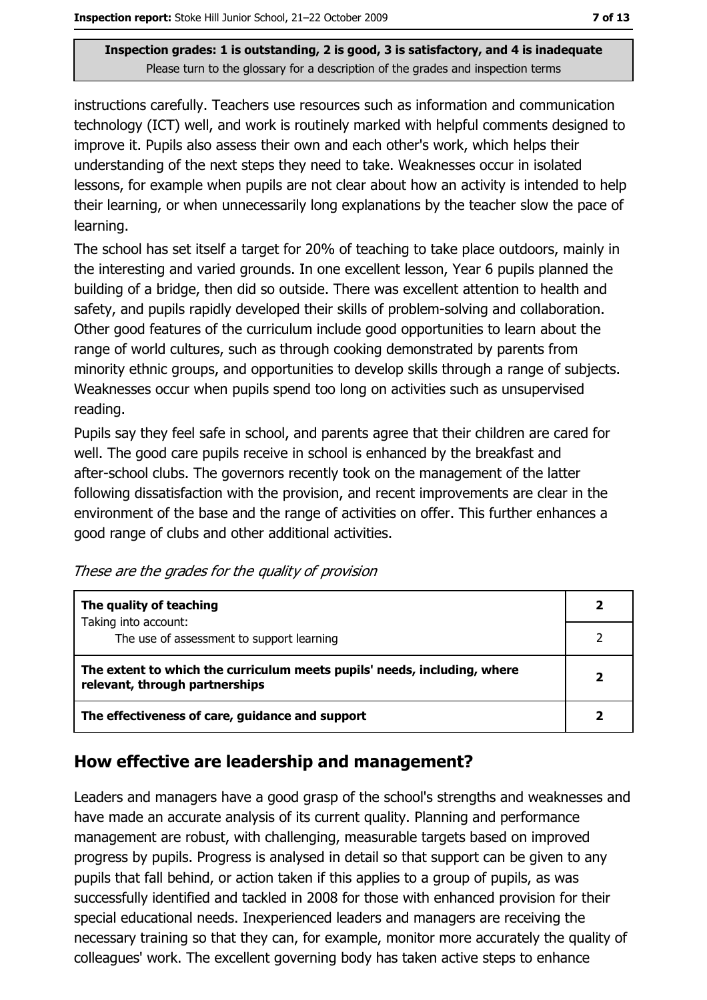instructions carefully. Teachers use resources such as information and communication technology (ICT) well, and work is routinely marked with helpful comments designed to improve it. Pupils also assess their own and each other's work, which helps their understanding of the next steps they need to take. Weaknesses occur in isolated lessons, for example when pupils are not clear about how an activity is intended to help their learning, or when unnecessarily long explanations by the teacher slow the pace of learning.

The school has set itself a target for 20% of teaching to take place outdoors, mainly in the interesting and varied grounds. In one excellent lesson, Year 6 pupils planned the building of a bridge, then did so outside. There was excellent attention to health and safety, and pupils rapidly developed their skills of problem-solving and collaboration. Other good features of the curriculum include good opportunities to learn about the range of world cultures, such as through cooking demonstrated by parents from minority ethnic groups, and opportunities to develop skills through a range of subjects. Weaknesses occur when pupils spend too long on activities such as unsupervised reading.

Pupils say they feel safe in school, and parents agree that their children are cared for well. The good care pupils receive in school is enhanced by the breakfast and after-school clubs. The governors recently took on the management of the latter following dissatisfaction with the provision, and recent improvements are clear in the environment of the base and the range of activities on offer. This further enhances a good range of clubs and other additional activities.

| The quality of teaching                                                                                    |  |
|------------------------------------------------------------------------------------------------------------|--|
| Taking into account:<br>The use of assessment to support learning                                          |  |
| The extent to which the curriculum meets pupils' needs, including, where<br>relevant, through partnerships |  |
| The effectiveness of care, guidance and support                                                            |  |

## How effective are leadership and management?

Leaders and managers have a good grasp of the school's strengths and weaknesses and have made an accurate analysis of its current quality. Planning and performance management are robust, with challenging, measurable targets based on improved progress by pupils. Progress is analysed in detail so that support can be given to any pupils that fall behind, or action taken if this applies to a group of pupils, as was successfully identified and tackled in 2008 for those with enhanced provision for their special educational needs. Inexperienced leaders and managers are receiving the necessary training so that they can, for example, monitor more accurately the quality of colleagues' work. The excellent governing body has taken active steps to enhance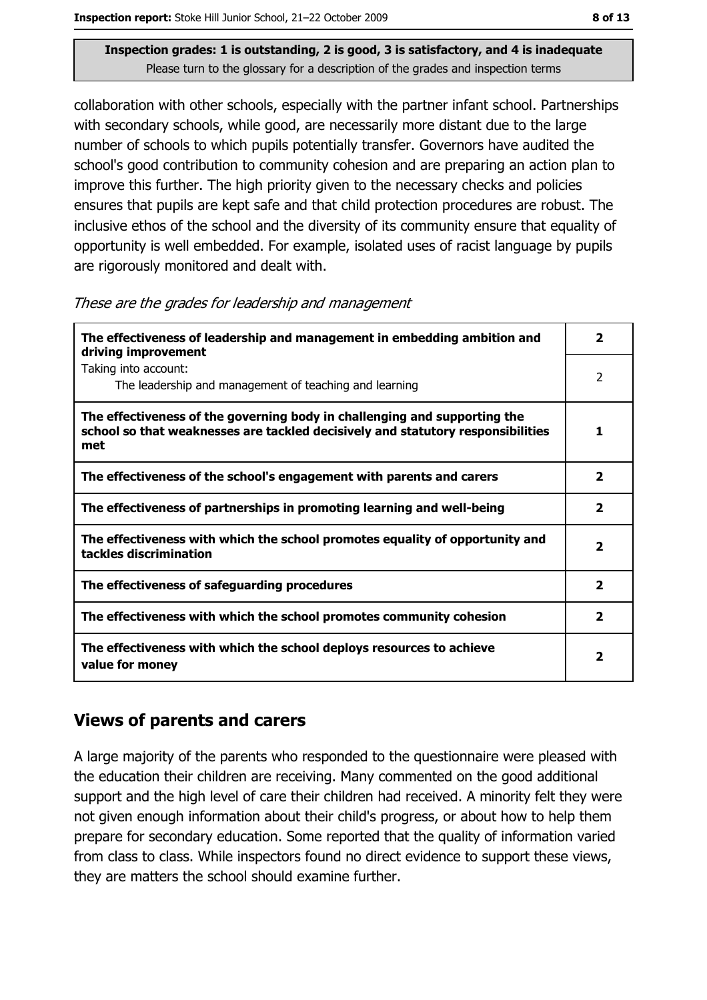collaboration with other schools, especially with the partner infant school. Partnerships with secondary schools, while good, are necessarily more distant due to the large number of schools to which pupils potentially transfer. Governors have audited the school's good contribution to community cohesion and are preparing an action plan to improve this further. The high priority given to the necessary checks and policies ensures that pupils are kept safe and that child protection procedures are robust. The inclusive ethos of the school and the diversity of its community ensure that equality of opportunity is well embedded. For example, isolated uses of racist language by pupils are rigorously monitored and dealt with.

|  |  | These are the grades for leadership and management |
|--|--|----------------------------------------------------|
|  |  |                                                    |

| The effectiveness of leadership and management in embedding ambition and<br>driving improvement                                                                     |                         |  |
|---------------------------------------------------------------------------------------------------------------------------------------------------------------------|-------------------------|--|
| Taking into account:<br>The leadership and management of teaching and learning                                                                                      | 2                       |  |
| The effectiveness of the governing body in challenging and supporting the<br>school so that weaknesses are tackled decisively and statutory responsibilities<br>met | 1                       |  |
| The effectiveness of the school's engagement with parents and carers                                                                                                | $\overline{\mathbf{2}}$ |  |
| The effectiveness of partnerships in promoting learning and well-being                                                                                              | 2                       |  |
| The effectiveness with which the school promotes equality of opportunity and<br>tackles discrimination                                                              | $\overline{\mathbf{2}}$ |  |
| The effectiveness of safeguarding procedures                                                                                                                        | $\overline{\mathbf{2}}$ |  |
| The effectiveness with which the school promotes community cohesion                                                                                                 | $\overline{\mathbf{2}}$ |  |
| The effectiveness with which the school deploys resources to achieve<br>value for money                                                                             | 2                       |  |

#### **Views of parents and carers**

A large majority of the parents who responded to the questionnaire were pleased with the education their children are receiving. Many commented on the good additional support and the high level of care their children had received. A minority felt they were not given enough information about their child's progress, or about how to help them prepare for secondary education. Some reported that the quality of information varied from class to class. While inspectors found no direct evidence to support these views, they are matters the school should examine further.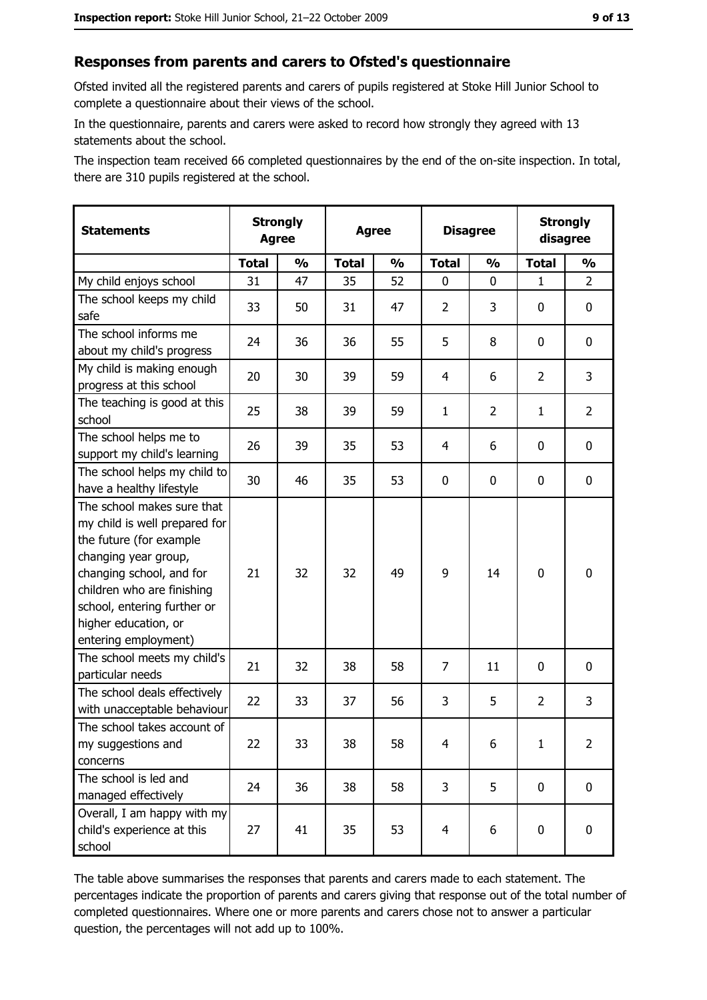### Responses from parents and carers to Ofsted's questionnaire

Ofsted invited all the registered parents and carers of pupils registered at Stoke Hill Junior School to complete a questionnaire about their views of the school.

In the questionnaire, parents and carers were asked to record how strongly they agreed with 13 statements about the school.

The inspection team received 66 completed questionnaires by the end of the on-site inspection. In total, there are 310 pupils registered at the school.

| <b>Statements</b>                                                                                                                                                                                                                                       | <b>Strongly</b><br><b>Agree</b> |               | <b>Agree</b> |               | <b>Disagree</b> |                | <b>Strongly</b><br>disagree |                |
|---------------------------------------------------------------------------------------------------------------------------------------------------------------------------------------------------------------------------------------------------------|---------------------------------|---------------|--------------|---------------|-----------------|----------------|-----------------------------|----------------|
|                                                                                                                                                                                                                                                         | <b>Total</b>                    | $\frac{1}{2}$ | <b>Total</b> | $\frac{1}{2}$ | <b>Total</b>    | $\frac{0}{0}$  | <b>Total</b>                | $\frac{1}{2}$  |
| My child enjoys school                                                                                                                                                                                                                                  | 31                              | 47            | 35           | 52            | $\mathbf 0$     | 0              | $\mathbf{1}$                | $\overline{2}$ |
| The school keeps my child<br>safe                                                                                                                                                                                                                       | 33                              | 50            | 31           | 47            | $\overline{2}$  | 3              | 0                           | 0              |
| The school informs me<br>about my child's progress                                                                                                                                                                                                      | 24                              | 36            | 36           | 55            | 5               | 8              | 0                           | 0              |
| My child is making enough<br>progress at this school                                                                                                                                                                                                    | 20                              | 30            | 39           | 59            | 4               | 6              | $\overline{2}$              | 3              |
| The teaching is good at this<br>school                                                                                                                                                                                                                  | 25                              | 38            | 39           | 59            | $\mathbf{1}$    | $\overline{2}$ | 1                           | $\overline{2}$ |
| The school helps me to<br>support my child's learning                                                                                                                                                                                                   | 26                              | 39            | 35           | 53            | $\overline{4}$  | 6              | 0                           | 0              |
| The school helps my child to<br>have a healthy lifestyle                                                                                                                                                                                                | 30                              | 46            | 35           | 53            | $\mathbf 0$     | 0              | 0                           | 0              |
| The school makes sure that<br>my child is well prepared for<br>the future (for example<br>changing year group,<br>changing school, and for<br>children who are finishing<br>school, entering further or<br>higher education, or<br>entering employment) | 21                              | 32            | 32           | 49            | 9               | 14             | $\mathbf 0$                 | 0              |
| The school meets my child's<br>particular needs                                                                                                                                                                                                         | 21                              | 32            | 38           | 58            | $\overline{7}$  | 11             | 0                           | 0              |
| The school deals effectively<br>with unacceptable behaviour                                                                                                                                                                                             | 22                              | 33            | 37           | 56            | 3               | 5              | $\overline{2}$              | 3              |
| The school takes account of<br>my suggestions and<br>concerns                                                                                                                                                                                           | 22                              | 33            | 38           | 58            | 4               | 6              | 1                           | $\overline{2}$ |
| The school is led and<br>managed effectively                                                                                                                                                                                                            | 24                              | 36            | 38           | 58            | 3               | 5              | 0                           | $\mathbf 0$    |
| Overall, I am happy with my<br>child's experience at this<br>school                                                                                                                                                                                     | 27                              | 41            | 35           | 53            | $\overline{4}$  | 6              | $\mathbf 0$                 | 0              |

The table above summarises the responses that parents and carers made to each statement. The percentages indicate the proportion of parents and carers giving that response out of the total number of completed questionnaires. Where one or more parents and carers chose not to answer a particular question, the percentages will not add up to 100%.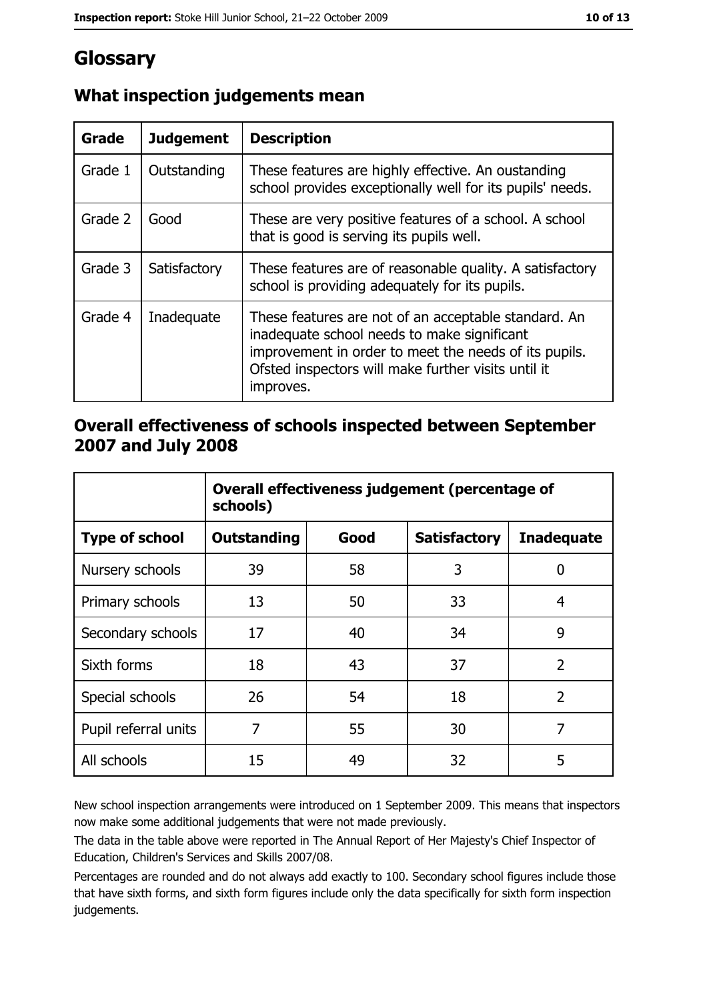# Glossary

| Grade   | <b>Judgement</b> | <b>Description</b>                                                                                                                                                                                                               |
|---------|------------------|----------------------------------------------------------------------------------------------------------------------------------------------------------------------------------------------------------------------------------|
| Grade 1 | Outstanding      | These features are highly effective. An oustanding<br>school provides exceptionally well for its pupils' needs.                                                                                                                  |
| Grade 2 | Good             | These are very positive features of a school. A school<br>that is good is serving its pupils well.                                                                                                                               |
| Grade 3 | Satisfactory     | These features are of reasonable quality. A satisfactory<br>school is providing adequately for its pupils.                                                                                                                       |
| Grade 4 | Inadequate       | These features are not of an acceptable standard. An<br>inadequate school needs to make significant<br>improvement in order to meet the needs of its pupils.<br>Ofsted inspectors will make further visits until it<br>improves. |

## What inspection judgements mean

#### Overall effectiveness of schools inspected between September 2007 and July 2008

|                       | Overall effectiveness judgement (percentage of<br>schools) |      |                     |                   |
|-----------------------|------------------------------------------------------------|------|---------------------|-------------------|
| <b>Type of school</b> | <b>Outstanding</b>                                         | Good | <b>Satisfactory</b> | <b>Inadequate</b> |
| Nursery schools       | 39                                                         | 58   | 3                   | 0                 |
| Primary schools       | 13                                                         | 50   | 33                  | 4                 |
| Secondary schools     | 17                                                         | 40   | 34                  | 9                 |
| Sixth forms           | 18                                                         | 43   | 37                  | $\overline{2}$    |
| Special schools       | 26                                                         | 54   | 18                  | $\overline{2}$    |
| Pupil referral units  | 7                                                          | 55   | 30                  | 7                 |
| All schools           | 15                                                         | 49   | 32                  | 5                 |

New school inspection arrangements were introduced on 1 September 2009. This means that inspectors now make some additional judgements that were not made previously.

The data in the table above were reported in The Annual Report of Her Majesty's Chief Inspector of Education, Children's Services and Skills 2007/08.

Percentages are rounded and do not always add exactly to 100. Secondary school figures include those that have sixth forms, and sixth form figures include only the data specifically for sixth form inspection judgements.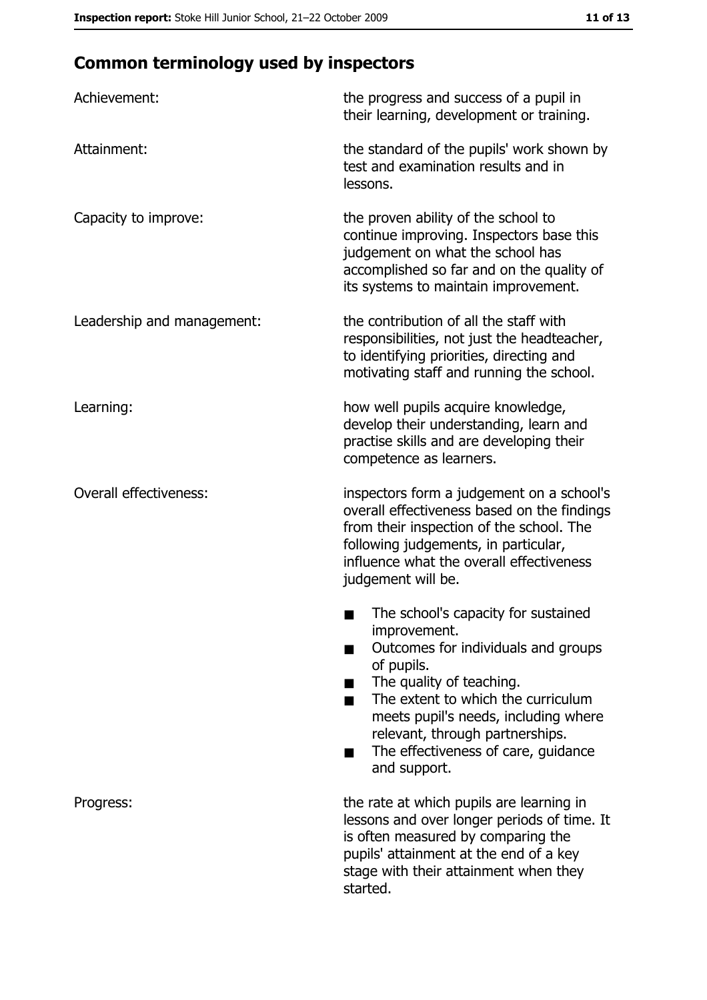# **Common terminology used by inspectors**

| Achievement:                  | the progress and success of a pupil in<br>their learning, development or training.                                                                                                                                                                                                                           |
|-------------------------------|--------------------------------------------------------------------------------------------------------------------------------------------------------------------------------------------------------------------------------------------------------------------------------------------------------------|
| Attainment:                   | the standard of the pupils' work shown by<br>test and examination results and in<br>lessons.                                                                                                                                                                                                                 |
| Capacity to improve:          | the proven ability of the school to<br>continue improving. Inspectors base this<br>judgement on what the school has<br>accomplished so far and on the quality of<br>its systems to maintain improvement.                                                                                                     |
| Leadership and management:    | the contribution of all the staff with<br>responsibilities, not just the headteacher,<br>to identifying priorities, directing and<br>motivating staff and running the school.                                                                                                                                |
| Learning:                     | how well pupils acquire knowledge,<br>develop their understanding, learn and<br>practise skills and are developing their<br>competence as learners.                                                                                                                                                          |
| <b>Overall effectiveness:</b> | inspectors form a judgement on a school's<br>overall effectiveness based on the findings<br>from their inspection of the school. The<br>following judgements, in particular,<br>influence what the overall effectiveness<br>judgement will be.                                                               |
|                               | The school's capacity for sustained<br>improvement.<br>Outcomes for individuals and groups<br>of pupils.<br>The quality of teaching.<br>The extent to which the curriculum<br>meets pupil's needs, including where<br>relevant, through partnerships.<br>The effectiveness of care, guidance<br>and support. |
| Progress:                     | the rate at which pupils are learning in<br>lessons and over longer periods of time. It<br>is often measured by comparing the<br>pupils' attainment at the end of a key<br>stage with their attainment when they<br>started.                                                                                 |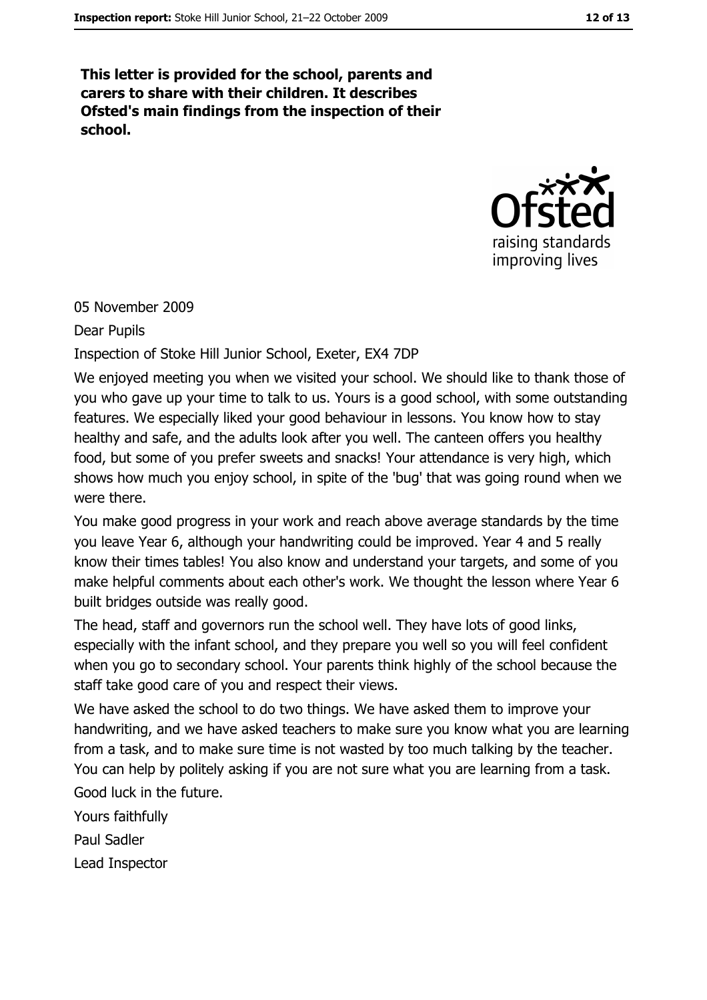This letter is provided for the school, parents and carers to share with their children. It describes Ofsted's main findings from the inspection of their school.



05 November 2009

Dear Pupils

Inspection of Stoke Hill Junior School, Exeter, EX4 7DP

We enjoyed meeting you when we visited your school. We should like to thank those of you who gave up your time to talk to us. Yours is a good school, with some outstanding features. We especially liked your good behaviour in lessons. You know how to stay healthy and safe, and the adults look after you well. The canteen offers you healthy food, but some of you prefer sweets and snacks! Your attendance is very high, which shows how much you enjoy school, in spite of the 'bug' that was going round when we were there.

You make good progress in your work and reach above average standards by the time you leave Year 6, although your handwriting could be improved. Year 4 and 5 really know their times tables! You also know and understand your targets, and some of you make helpful comments about each other's work. We thought the lesson where Year 6 built bridges outside was really good.

The head, staff and governors run the school well. They have lots of good links, especially with the infant school, and they prepare you well so you will feel confident when you go to secondary school. Your parents think highly of the school because the staff take good care of you and respect their views.

We have asked the school to do two things. We have asked them to improve your handwriting, and we have asked teachers to make sure you know what you are learning from a task, and to make sure time is not wasted by too much talking by the teacher. You can help by politely asking if you are not sure what you are learning from a task.

Good luck in the future.

Yours faithfully

Paul Sadler

Lead Inspector